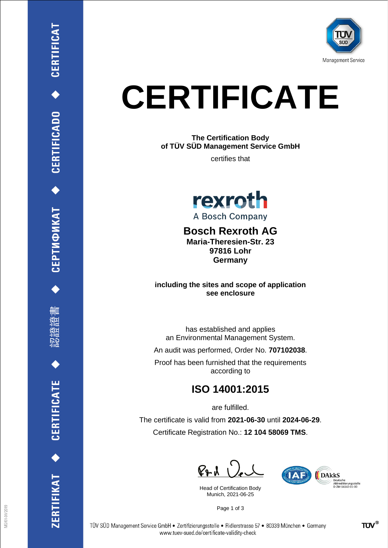

## **CERTIFICATE**

**The Certification Body of TÜV SÜD Management Service GmbH**

certifies that



**Bosch Rexroth AG Maria-Theresien-Str. 23 97816 Lohr**

**including the sites and scope of application see enclosure**

**Germany**

has established and applies an Environmental Management System.

An audit was performed, Order No. **707102038**.

Proof has been furnished that the requirements according to

## **ISO 14001:2015**

are fulfilled.

The certificate is valid from **2021-06-30** until **2024-06-29**. Certificate Registration No.: **12 104 58069 TMS**.

 $P + U$ 

Head of Certification Body Munich, 2021-06-25



Page 1 of 3

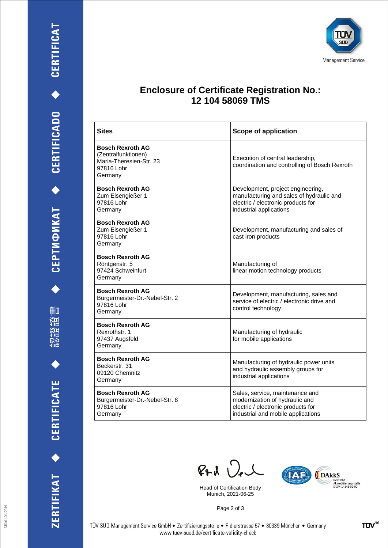刪 瀧

認得

ZERTIFIKAT ◆ CERTIFICATE



## **Enclosure of Certificate Registration No.: 12 104 58069 TMS**

| <b>Sites</b>                                                                                       | Scope of application                                                                                                                           |
|----------------------------------------------------------------------------------------------------|------------------------------------------------------------------------------------------------------------------------------------------------|
| <b>Bosch Rexroth AG</b><br>(Zentralfunktionen)<br>Maria-Theresien-Str. 23<br>97816 Lohr<br>Germany | Execution of central leadership,<br>coordination and controlling of Bosch Rexroth                                                              |
| <b>Bosch Rexroth AG</b><br>Zum Eisengießer 1<br>97816 Lohr<br>Germany                              | Development, project engineering,<br>manufacturing and sales of hydraulic and<br>electric / electronic products for<br>industrial applications |
| <b>Bosch Rexroth AG</b><br>Zum Eisengießer 1<br>97816 Lohr<br>Germany                              | Development, manufacturing and sales of<br>cast iron products                                                                                  |
| <b>Bosch Rexroth AG</b><br>Röntgenstr. 5<br>97424 Schweinfurt<br>Germany                           | Manufacturing of<br>linear motion technology products                                                                                          |
| <b>Bosch Rexroth AG</b><br>Bürgermeister-Dr.-Nebel-Str. 2<br>97816 Lohr<br>Germany                 | Development, manufacturing, sales and<br>service of electric / electronic drive and<br>control technology                                      |
| <b>Bosch Rexroth AG</b><br>Rexrothstr. 1<br>97437 Augsfeld<br>Germany                              | Manufacturing of hydraulic<br>for mobile applications                                                                                          |
| <b>Bosch Rexroth AG</b><br>Beckerstr, 31<br>09120 Chemnitz<br>Germany                              | Manufacturing of hydraulic power units<br>and hydraulic assembly groups for<br>industrial applications                                         |
| <b>Bosch Rexroth AG</b><br>Bürgermeister-Dr.-Nebel-Str. 8<br>97816 Lohr<br>Germany                 | Sales, service, maintenance and<br>modernization of hydraulic and<br>electric / electronic products for<br>industrial and mobile applications  |

 $P_{P}$ d  $Q_{e}$ 

Head of Certification Body Munich, 2021-06-25



Page 2 of 3